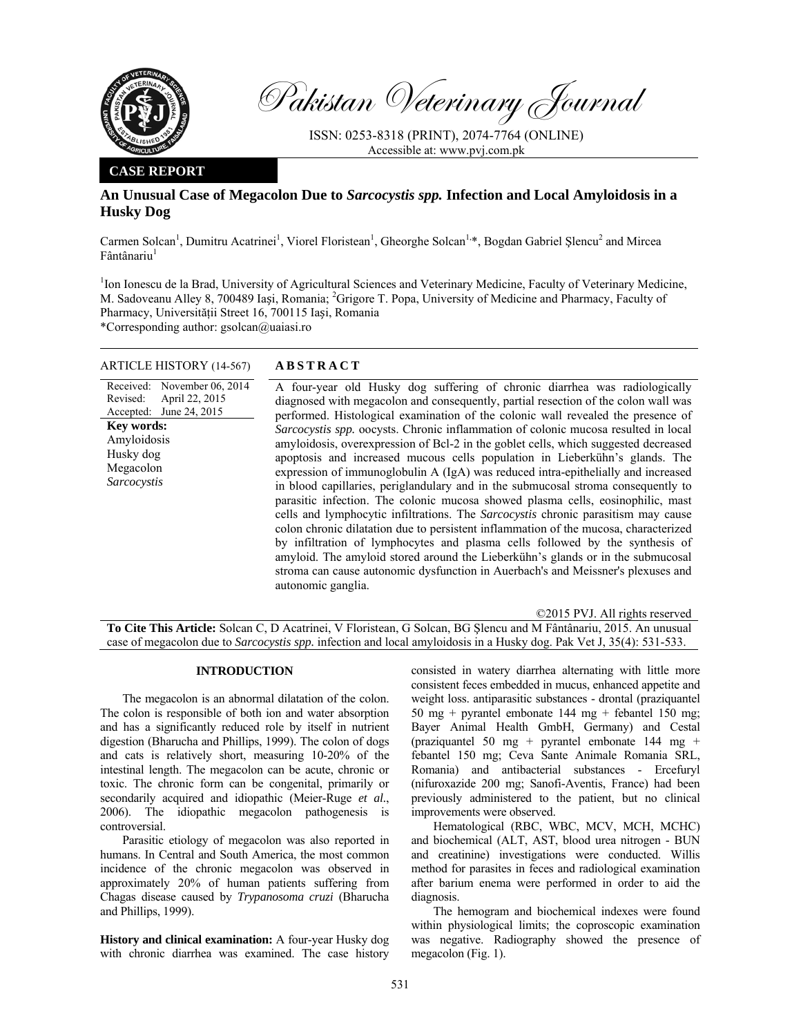

Pakistan Veterinary Journal

ISSN: 0253-8318 (PRINT), 2074-7764 (ONLINE) Accessible at: www.pvj.com.pk

### **CASE REPORT**

# **An Unusual Case of Megacolon Due to** *Sarcocystis spp.* **Infection and Local Amyloidosis in a Husky Dog**

Carmen Solcan<sup>1</sup>, Dumitru Acatrinei<sup>1</sup>, Viorel Floristean<sup>1</sup>, Gheorghe Solcan<sup>1,\*</sup>, Bogdan Gabriel Șlencu<sup>2</sup> and Mircea  $F$ ântânariu<sup>1</sup>

<sup>1</sup>Ion Ionescu de la Brad, University of Agricultural Sciences and Veterinary Medicine, Faculty of Veterinary Medicine, M. Sadoveanu Alley 8, 700489 Iași, Romania; <sup>2</sup>Grigore T. Popa, University of Medicine and Pharmacy, Faculty of Pharmacy, Universităţii Street 16, 700115 Iași, Romania

\*Corresponding author: gsolcan@uaiasi.ro

# ARTICLE HISTORY (14-567) **ABSTRACT**

Received: November 06, 2014 Revised: Accepted: June 24, 2015 April 22, 2015 A four-year old Husky dog suffering of chronic diarrhea was radiologically diagnosed with megacolon and consequently, partial resection of the colon wall was performed. Histological examination of the colonic wall revealed the presence of *Sarcocystis spp.* oocysts. Chronic inflammation of colonic mucosa resulted in local amyloidosis, overexpression of Bcl-2 in the goblet cells, which suggested decreased apoptosis and increased mucous cells population in Lieberkühn's glands. The expression of immunoglobulin A (IgA) was reduced intra-epithelially and increased in blood capillaries, periglandulary and in the submucosal stroma consequently to parasitic infection. The colonic mucosa showed plasma cells, eosinophilic, mast cells and lymphocytic infiltrations. The *Sarcocystis* chronic parasitism may cause colon chronic dilatation due to persistent inflammation of the mucosa, characterized by infiltration of lymphocytes and plasma cells followed by the synthesis of amyloid. The amyloid stored around the Lieberkühn's glands or in the submucosal stroma can cause autonomic dysfunction in Auerbach's and Meissner's plexuses and autonomic ganglia. **Key words:**  Amyloidosis Husky dog Megacolon *Sarcocystis*

©2015 PVJ. All rights reserved

**To Cite This Article:** Solcan C, D Acatrinei, V Floristean, G Solcan, BG Şlencu and M Fântânariu, 2015. An unusual case of megacolon due to *Sarcocystis spp.* infection and local amyloidosis in a Husky dog. Pak Vet J, 35(4): 531-533.

# **INTRODUCTION**

The megacolon is an abnormal dilatation of the colon. The colon is responsible of both ion and water absorption and has a significantly reduced role by itself in nutrient digestion (Bharucha and Phillips, 1999). The colon of dogs and cats is relatively short, measuring 10-20% of the intestinal length. The megacolon can be acute, chronic or toxic. The chronic form can be congenital, primarily or secondarily acquired and idiopathic (Meier-Ruge *et al.*, 2006). The idiopathic megacolon pathogenesis is controversial.

Parasitic etiology of megacolon was also reported in humans. In Central and South America, the most common incidence of the chronic megacolon was observed in approximately 20% of human patients suffering from Chagas disease caused by *Trypanosoma cruzi* (Bharucha and Phillips, 1999).

**History and clinical examination:** A four-year Husky dog with chronic diarrhea was examined. The case history

consisted in watery diarrhea alternating with little more consistent feces embedded in mucus, enhanced appetite and weight loss. antiparasitic substances - drontal (praziquantel 50 mg + pyrantel embonate 144 mg + febantel 150 mg; Bayer Animal Health GmbH, Germany) and Cestal (praziquantel 50 mg + pyrantel embonate 144 mg + febantel 150 mg; Ceva Sante Animale Romania SRL, Romania) and antibacterial substances - Ercefuryl (nifuroxazide 200 mg; Sanofi-Aventis, France) had been previously administered to the patient, but no clinical improvements were observed.

Hematological (RBC, WBC, MCV, MCH, MCHC) and biochemical (ALT, AST, blood urea nitrogen - BUN and creatinine) investigations were conducted. Willis method for parasites in feces and radiological examination after barium enema were performed in order to aid the diagnosis.

The hemogram and biochemical indexes were found within physiological limits; the coproscopic examination was negative. Radiography showed the presence of megacolon (Fig. 1).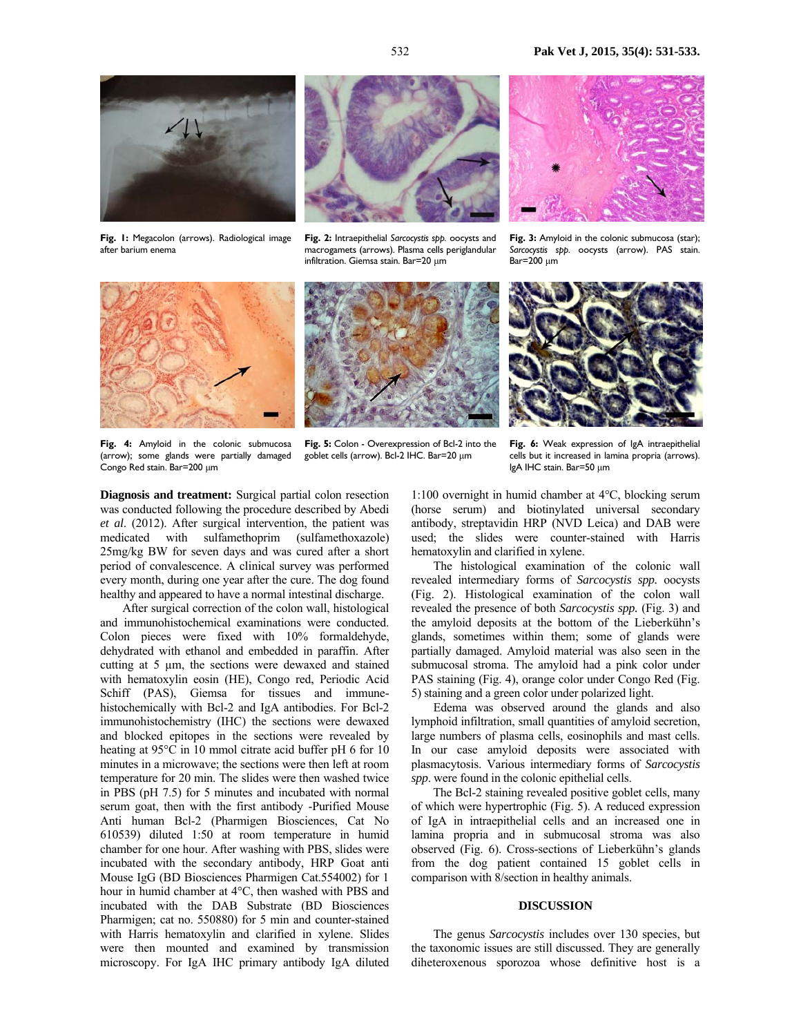

**Fig. 1:** Megacolon (arrows). Radiological image after barium enema



**Fig. 2:** Intraepithelial *Sarcocystis spp.* oocysts and macrogamets (arrows). Plasma cells periglandular infiltration. Giemsa stain. Bar=20 µm



**Fig. 3:** Amyloid in the colonic submucosa (star); *Sarcocystis spp.* oocysts (arrow). PAS stain. Bar=200 µm







**Fig. 4:** Amyloid in the colonic submucosa (arrow); some glands were partially damaged Congo Red stain. Bar=200 µm

**Fig. 5:** Colon - Overexpression of Bcl-2 into the goblet cells (arrow). Bcl-2 IHC. Bar=20 µm

**Fig. 6:** Weak expression of IgA intraepithelial cells but it increased in lamina propria (arrows). IgA IHC stain. Bar=50 µm

**Diagnosis and treatment:** Surgical partial colon resection was conducted following the procedure described by Abedi *et al*. (2012). After surgical intervention, the patient was medicated with sulfamethoprim (sulfamethoxazole) 25mg/kg BW for seven days and was cured after a short period of convalescence. A clinical survey was performed every month, during one year after the cure. The dog found healthy and appeared to have a normal intestinal discharge.

 After surgical correction of the colon wall, histological and immunohistochemical examinations were conducted. Colon pieces were fixed with 10% formaldehyde, dehydrated with ethanol and embedded in paraffin. After cutting at 5 µm, the sections were dewaxed and stained with hematoxylin eosin (HE), Congo red, Periodic Acid Schiff (PAS), Giemsa for tissues and immunehistochemically with Bcl-2 and IgA antibodies. For Bcl-2 immunohistochemistry (IHC) the sections were dewaxed and blocked epitopes in the sections were revealed by heating at 95°C in 10 mmol citrate acid buffer pH 6 for 10 minutes in a microwave; the sections were then left at room temperature for 20 min. The slides were then washed twice in PBS (pH 7.5) for 5 minutes and incubated with normal serum goat, then with the first antibody -Purified Mouse Anti human Bcl-2 (Pharmigen Biosciences, Cat No 610539) diluted 1:50 at room temperature in humid chamber for one hour. After washing with PBS, slides were incubated with the secondary antibody, HRP Goat anti Mouse IgG (BD Biosciences Pharmigen Cat.554002) for 1 hour in humid chamber at 4°C, then washed with PBS and incubated with the DAB Substrate (BD Biosciences Pharmigen; cat no. 550880) for 5 min and counter-stained with Harris hematoxylin and clarified in xylene. Slides were then mounted and examined by transmission microscopy. For IgA IHC primary antibody IgA diluted

1:100 overnight in humid chamber at 4°C, blocking serum (horse serum) and biotinylated universal secondary antibody, streptavidin HRP (NVD Leica) and DAB were used; the slides were counter-stained with Harris hematoxylin and clarified in xylene.

The histological examination of the colonic wall revealed intermediary forms of *Sarcocystis spp.* oocysts (Fig. 2). Histological examination of the colon wall revealed the presence of both *Sarcocystis spp.* (Fig. 3) and the amyloid deposits at the bottom of the Lieberkühn's glands, sometimes within them; some of glands were partially damaged. Amyloid material was also seen in the submucosal stroma. The amyloid had a pink color under PAS staining (Fig. 4), orange color under Congo Red (Fig. 5) staining and a green color under polarized light.

Edema was observed around the glands and also lymphoid infiltration, small quantities of amyloid secretion, large numbers of plasma cells, eosinophils and mast cells. In our case amyloid deposits were associated with plasmacytosis. Various intermediary forms of *Sarcocystis spp*. were found in the colonic epithelial cells.

The Bcl-2 staining revealed positive goblet cells, many of which were hypertrophic (Fig. 5). A reduced expression of IgA in intraepithelial cells and an increased one in lamina propria and in submucosal stroma was also observed (Fig. 6). Cross-sections of Lieberkühn's glands from the dog patient contained 15 goblet cells in comparison with 8/section in healthy animals.

### **DISCUSSION**

The genus *Sarcocystis* includes over 130 species, but the taxonomic issues are still discussed. They are generally diheteroxenous sporozoa whose definitive host is a